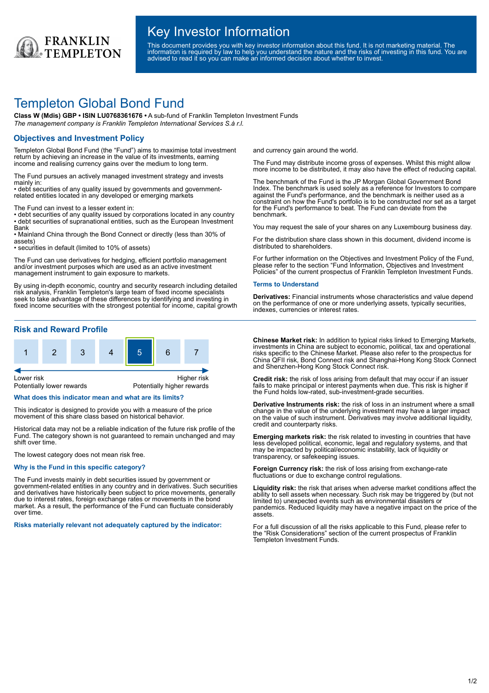

# Key Investor Information

This document provides you with key investor information about this fund. It is not marketing material. The information is required by law to help you understand the nature and the risks of investing in this fund. You are advised to read it so you can make an informed decision about whether to invest.

# Templeton Global Bond Fund

**Class W (Mdis) GBP • ISIN LU0768361676 •** A sub-fund of Franklin Templeton Investment Funds *The management company is Franklin Templeton International Services S.à r.l.*

# **Objectives and Investment Policy**

Templeton Global Bond Fund (the "Fund") aims to maximise total investment return by achieving an increase in the value of its investments, earning income and realising currency gains over the medium to long term.

The Fund pursues an actively managed investment strategy and invests mainly in:

• debt securities of any quality issued by governments and governmentrelated entities located in any developed or emerging markets

The Fund can invest to a lesser extent in:

• debt securities of any quality issued by corporations located in any country • debt securities of supranational entities, such as the European Investment Bank

• Mainland China through the Bond Connect or directly (less than 30% of assets)

• securities in default (limited to 10% of assets)

The Fund can use derivatives for hedging, efficient portfolio management and/or investment purposes which are used as an active investment management instrument to gain exposure to markets.

By using in-depth economic, country and security research including detailed risk analysis, Franklin Templeton's large team of fixed income specialists seek to take advantage of these differences by identifying and investing in fixed income securities with the strongest potential for income, capital growth

# **Risk and Reward Profile**



### **What does this indicator mean and what are its limits?**

This indicator is designed to provide you with a measure of the price movement of this share class based on historical behavior.

Historical data may not be a reliable indication of the future risk profile of the Fund. The category shown is not guaranteed to remain unchanged and may shift over time.

The lowest category does not mean risk free.

### **Why is the Fund in this specific category?**

The Fund invests mainly in debt securities issued by government or government-related entities in any country and in derivatives. Such securities and derivatives have historically been subject to price movements, generally due to interest rates, foreign exchange rates or movements in the bond market. As a result, the performance of the Fund can fluctuate considerably over time.

**Risks materially relevant not adequately captured by the indicator:**

and currency gain around the world.

The Fund may distribute income gross of expenses. Whilst this might allow more income to be distributed, it may also have the effect of reducing capital.

The benchmark of the Fund is the JP Morgan Global Government Bond Index. The benchmark is used solely as a reference for Investors to compare against the Fund's performance, and the benchmark is neither used as a constraint on how the Fund's portfolio is to be constructed nor set as a target for the Fund's performance to beat. The Fund can deviate from the benchmark.

You may request the sale of your shares on any Luxembourg business day.

For the distribution share class shown in this document, dividend income is distributed to shareholders.

For further information on the Objectives and Investment Policy of the Fund, please refer to the section "Fund Information, Objectives and Investment Policies" of the current prospectus of Franklin Templeton Investment Funds.

#### **Terms to Understand**

**Derivatives:** Financial instruments whose characteristics and value depend on the performance of one or more underlying assets, typically securities, indexes, currencies or interest rates.

**Chinese Market risk:** In addition to typical risks linked to Emerging Markets, investments in China are subject to economic, political, tax and operational risks specific to the Chinese Market. Please also refer to the prospectus for China QFII risk, Bond Connect risk and Shanghai-Hong Kong Stock Connect and Shenzhen-Hong Kong Stock Connect risk.

**Credit risk:** the risk of loss arising from default that may occur if an issuer fails to make principal or interest payments when due. This risk is higher if the Fund holds low-rated, sub-investment-grade securities.

**Derivative Instruments risk:** the risk of loss in an instrument where a small change in the value of the underlying investment may have a larger impact on the value of such instrument. Derivatives may involve additional liquidity, credit and counterparty risks.

**Emerging markets risk:** the risk related to investing in countries that have less developed political, economic, legal and regulatory systems, and that may be impacted by political/economic instability, lack of liquidity or transparency, or safekeeping issues.

**Foreign Currency risk:** the risk of loss arising from exchange-rate fluctuations or due to exchange control regulations.

**Liquidity risk:** the risk that arises when adverse market conditions affect the ability to sell assets when necessary. Such risk may be triggered by (but not limited to) unexpected events such as environmental disasters or pandemics. Reduced liquidity may have a negative impact on the price of the assets.

For a full discussion of all the risks applicable to this Fund, please refer to the "Risk Considerations" section of the current prospectus of Franklin Templeton Investment Funds.